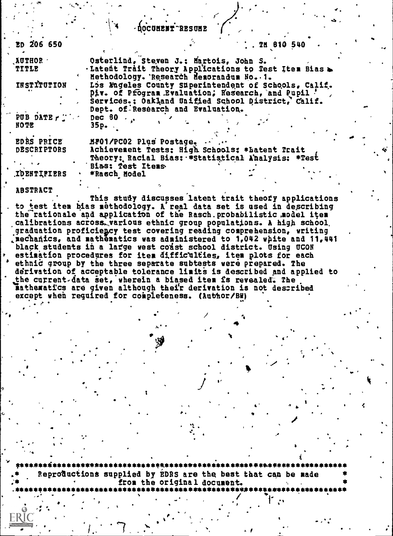|  |  |  |  |  | -DOCUMENT RESUME |  |  |  |
|--|--|--|--|--|------------------|--|--|--|
|--|--|--|--|--|------------------|--|--|--|

| ED 206 650                       | 1.7180540                                                                                                                                                                                                                                       |  |
|----------------------------------|-------------------------------------------------------------------------------------------------------------------------------------------------------------------------------------------------------------------------------------------------|--|
| AUTHOR -<br>TITLE                | Osterlind, Steven J.: Martois, John S.<br>. Latent Trait Theory Applications to Test Item Bias                                                                                                                                                  |  |
| INSTITUTION                      | Hethodology. Research Hemorandum Ho. 1.<br>Los Mageles County Superintendent of Schools, Calif.<br>Div. of Pfogram Byaluation, Research, and Pupil '<br>Services.: Oakland Unified School District, Calif.<br>Dept. of Research and Evaluation. |  |
| PUB DATE Fig.<br>HOTE            | Dec 80 $\ldots$<br>35p.                                                                                                                                                                                                                         |  |
| EDRS PRICE<br><b>DESCRIPTORS</b> | MP01/PC02 Plus Postage.<br>Achievement Tests: High Schools: *Latent Trait<br>Theory: Racial Bias: *Statistical Analysis: *Test                                                                                                                  |  |
| <b>IDENTIFIERS</b>               | <b>Bias: Test Items</b><br>*Rasch Hodel                                                                                                                                                                                                         |  |

**ABSTRACT** 

This study discusses latent trait theofy applications to test item bias methodology. A real data set is used in describing the rationale and application of the Rasch probabilistic model item calibrations across various ethnic group populations. A high school graduation proficiency test covering reading comprehension, writing mechanics, and mathematics was administered to 1,042 white and 11,441 black students in a large west coast school district. Using UCOH estimation procedures for item difficulties, item plots for each ethnic group by the three separate subtests vere prepared. The derivation of acceptable tolerance limits is described and applied to the current data set, wherein a biased item is revealed. The nathematics are given although their derivation is not described except when required for completeness. (Author/BW)

Reproductions supplied by EDRS are the best that can be made from the original document.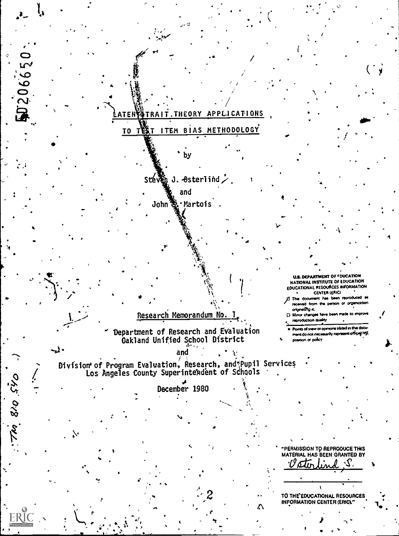

J206650

-1.

Thi 810 Sto

# TO TEST ITEM BIAS METHODOLOGY

 $\mathbf{\hat{g}}_0$  J. -Osterlind  $\mathcal{\dot{L}}$  , Stév

and

John & Martois.

U.S. DEPARTMENT OF FOUCATION **NATIONAL INSTITUTE OF EDUCATION** EDUCATIONAL RESOURCES INFORMATION CENTER (ERIC)

(2) This document has been reproduced as received from the person or organization originating n.

C). Minor changes have been made to improve reproduction quality

Points of snew or opinions stated in this document do not necessarily represent official HIE position or policy

Department of Research and Evaluation<br>Oakland Unified School District

Research Memorandum No.

and

Division of Program Evaluation, Research, and Pupil Services<br>Los Angeles County Superintendent of Schools

December 1980

\*PERMISSION TO REPRODUCE THIS MATERIAL HAS BEEN GRANTED BY *Cotto lin*  $\cdot$ S.

TO THE EDUCATIONAL RESOURCES<br>INFORMATION CENTER (ERIC)."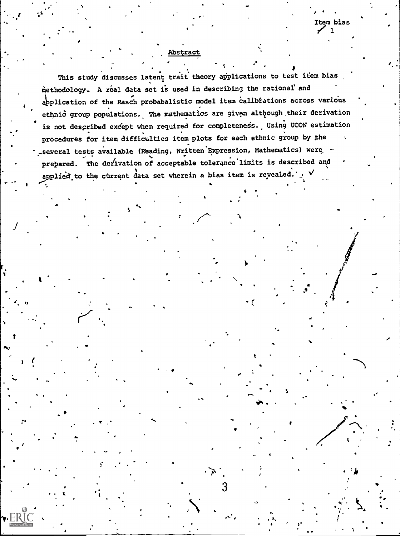Abstract

This study discusses latent trait theory applications to test item bias methodology. A real data set is used in describing the rational and application of the Rasch probabalistic model item calibrations across various ethnic group populations. The mathematics are given although their derivation is not described except when required for completeness. Using UCON estimation procedures for item difficulties item plots for each ethnic group by the - several tests available (Reading, Written Expression, Mathematics) were prepared. The derivation of acceptable tolerance limits is described and applied to the current data set wherein a bias item is revealed.

Β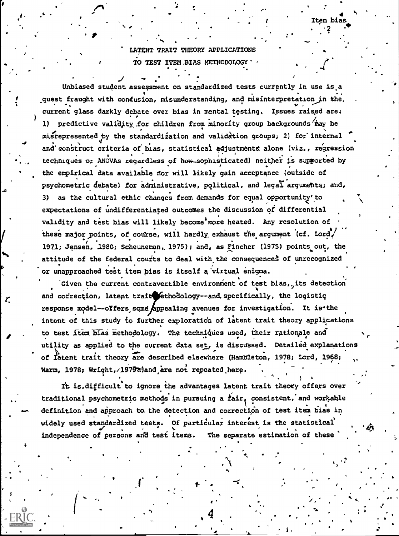## LATENT TRAIT THEORY APPLICATIONS TO TEST ITEM BIAS METHODOLOGY

tem bias:

Unbiased student assessment on standardized tests currently in use is a quest fraught with confusion, misunderstanding, and misinterpretation in the. current glass darkly debate over bias in mental testing. Issues raised are: 1) predictive validity for children from minority group backgrounds may be misrepresented by the standardization and validation groups, 2) for internal and construct criteria of bias, statistical adjustments alone (viz., regression techniques or ANOVAs regardless of how sophisticated) neither is supported by the empirical data available nor will likely gain acceptance (outside of psychometric debate) for administrative, political, and legal arguments; and, as the cultural ethic changes from demands for equal opportunity' to  $3)$ expectations of undifferentiated outcomes the discussion of differential validity and test bias will likely become more heated. Any resolution of these major points, of course, will hardly exhaust the argument (cf. Lord/ 1971; Jensen, 1980; Scheuneman, 1975); and, as Fincher (1975) points out, the attitude of the federal courts to deal with the consequences of unrecognized or unapproached test item bias is itself a virtual enigma.

Given the current contravertible environment of test bias, its detection and correction, latent trait ethodology--and specifically, the logistic response model--offers some appealing avenues for investigation. It is the intent of this study to further exploration of latent trait theory applications to test item blas methodology. The techniques used, their rationale and utility as applied to the current data set, is discussed. Detailed explanations of latent trait theory are described elsewhere (Hambleton, 1978; Lord, 1968; Warm, 1978; Wright, 1979ajand are not repeated here.

It is.difficult to ignore the advantages latent trait theory offers over traditional psychometric methods in pursuing a fair, consistent, and workable definition and approach to the detection and correction of test item bias in widely used standardized tests. Of particular interest is the statistical independence of persons and test items. The separate estimation of these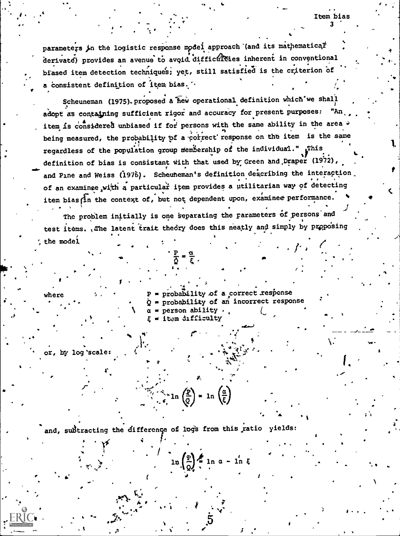parameters in the logistic response model approach (and its mathematical derivate) provides an avenue to avoid difficulties inherent in conventional biased item detection techniques; yet, still satisfied is the criterion of a consistent definition of item bias. "

Item bias

Scheuneman (1975). proposed a hew operational definition which we shall adopt as containing sufficient rigor and accuracy for present purposes: item is considered unbiased if for persons with the same ability in the area being measured, the probability of a correct response on the item is the same regardless of the population group membership of the individual." Ihis definition of bias is consistant with that used by Green and Draper (1972), and Pine and Weiss (1976). Scheuheman's definition describing the interaction of an examinee with a particular item provides a utilitarian way of detecting item bias in the context of, but not dependent upon, examinee performance.

The problem initially is one separating the parameters of persons and test items. , The latent trait theory does this neatly and simply by proposing the model

> = probability of a correct response = probability of an incorrect response Ò.  $\alpha$  = person ability . = item difficulty

by log 'scale:

and, subtracting the difference of logs from this ratio yields:

 $\sum_{i=1}^{n} \ln \left( \frac{R}{Q} \right) = \ln \left( \frac{\alpha}{\xi} \right)$ 

 $\ln\left(\frac{\mathfrak{p}}{\mathfrak{0}}\right) = \ln \alpha - \ln \xi$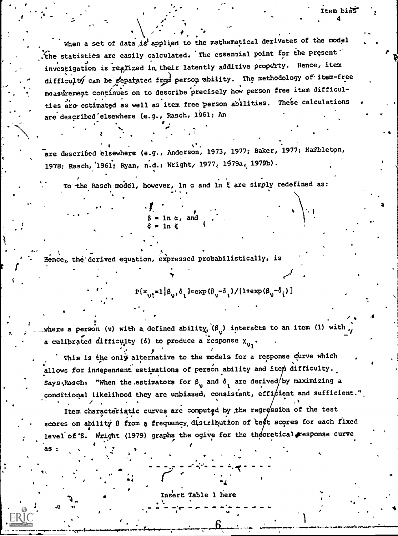when a set of data is applied to the mathematical derivates of the model The statistics are easily calculated. The essential point for the present investigation is realized in their latently additive property. Hence, item difficulty can be separated from person ability. The methodology of item-free measurement continues on to describe precisely how person free item difficulties are estimated as well as item free person abilities. These calculations are described elsewhere (e.g., Rasch, 1961; An

Item biàS

are described elsewhere (e.g., Anderson, 1973, 1977; Baker, 1977; Hambleton, 1978: Rasch, 1961; Ryan, n.d., Wright, 1977, 1979a, 1979b).

To the Rasch model, however, ln  $\alpha$  and ln  $\xi$  are simply redefined as:

Hence, the derived equation, expressed probabilistically, is

 $3 = 1n \alpha$ , and

 $P(x_{i1}^* \ge 1 | \beta_{i1}, \delta_1) = \exp(\beta_{i1} - \delta_1) / [1 + \exp(\beta_{i1} - \delta_1)]$ 

where a person (v) with a defined ability,  $(\beta_{ij})$  interacts to an item (1) with a calibrated difficulty (6) to produce a response  $x_{v}$ .

This is the only alternative to the models for a response curve which allows for independent estimations of person ability and item difficulty. Says Rasch: "When the estimators for  $\beta_{\rm v}$  and  $\delta_{\rm i}$  are derived/by maximizing a conditional likelihood they are unbiased, consistant, efficient and sufficient."

Item characteristic curves are computed by the regression of the test scores on ability ß from a frequency distribution of test scores for each fixed level of B. Wright (1979) graphs the ogive for the theoretical response curve

as :

Insert Table 1 here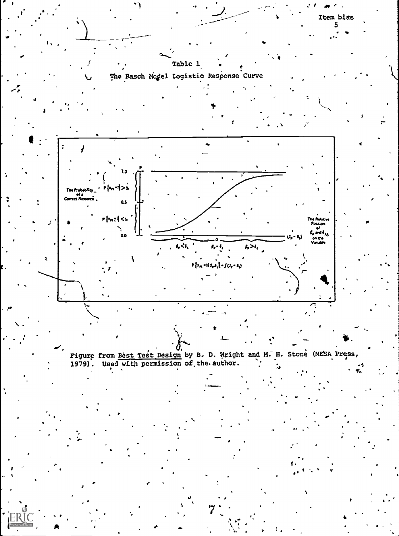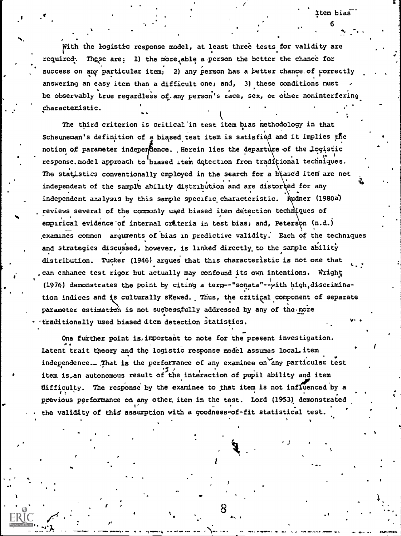rithmetric control in the second second second second second second second second second second second second With the logistic response model, at least three tests for validity are required: These are; 1) the more able a person the better the chance for success on any particular item; 2) any person has a better chance. of correctly 1 answering an easy item than a difficult one; and, 3) these conditions must be observably true regardless of any person's race, sex, or other noninterfering characteristic.

The third criterion is critical'in test item bias methodology in that Scheuneman's definition of a biased test item is satisfied and it implies the notion of parameter independence. .Herein lies the departure of the logistic . . response.model approach to biased item detection from traditional techniques. ,. <sup>f</sup> The statistics conventionally employed in the search for a biased item are not independent of the sample ability distribution and are distorted for any  $\frac{1}{3}$ independent analysis by this sample specific characteristic. Audner (1980a) reviews several of the commonly used biased item detection techniques of empirical evidence of internal criteria in test bias; and, Peterson (n.d.) ,examines common arguments of bias in predictive validity: Each of the techniques and strategies discussed, however, is linked directly, to the sample ability distribution. Tucker (1946) argues that this characteristic is not one that can enhance test rigor but actually may confound its own intentions. Wright (1976) demonstrates the point by citing a term--"sonata"--with high.discrimination indices and is culturally sKewed. Thus, the critical component of separate parameter estimation is not successfully addressed by any of the more . .... traditionally used biased dtem detection statistics. View of the contract of the contract of the contract of the contract of the contract of the contract of the contract of the contract of the contract of the contract of the contract of the contract of the contract of the co

One further point is, important to note for the present investigation. Latent trait theory and the logistic response model assumes local item independence. That is the performance of any examinee on any particular test item is,an autonomous result of the interaction df pupil ability and item difficulty. The response by the examinee to that item is not influenced by a . . . previous performance on any other. item in the test. Lord (1953) demonstrated f' \_ . the validity of this assumption with a goodness-of-fit statistical test.

or<br>Animals al le le la squande (l'insertation al la socialité de l'al l'insertation al al l'insert de la matemat

8  $11$ 

111

4.1

f

 $c$  is a set of  $\mathcal{L}$  is a set of  $\mathcal{L}$  . Then bias is the set of  $\mathcal{L}$  is a set of  $\mathcal{L}$ 

6

111. A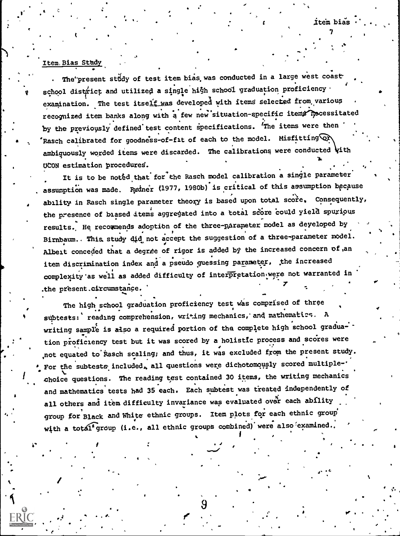.

 $\mathbf{I}$   $\mathbf{I}$   $\mathbf{I}$   $\mathbf{I}$   $\mathbf{I}$ 

4/ 170

### Item, Bias Sthdy \_

- -

0

 $\mathbf{t} = \mathbf{t} + \mathbf{t}$ 

4.

The present study of test item bias was conducted in a large west coast  $\cdot$  $s$ chool district and utilized a single high school graduation proficiency examination. The test itself was developed with items selected from various recognized item banks along with a few new situation-specific items mocessitated by the previously defined test content specifications. 'The items were then Rasch calibrated for goodness-of-fit of each to the model. Misfitting  $\textcircled{r}$ ambiguously worded items were discarded. The calibrations were conducted  $\sqrt{$ ith UCON estimation procedures.

. The contract of the contract of the contract of the contract of the contract of  $\mathcal{L}_\mathcal{F}$ 

 $\sim$ 

. .

 $\bullet$  . The second contract of  $\bullet$  ,  $\bullet$  ,  $\bullet$  ,  $\bullet$  ,  $\bullet$ 

.

It is to be noted that for the Rasch model calibration a single parameter assumption was made. Rydner (1977, 1980b) is critical of this assumption because - -<br>ability in Rasch single parameter theory is based upon total score. Consequently, the presence of biased items aggregated into a total score could yield spurious results. He recormends adoption of the three-parameter model as deyeloped by Birnbaum.. This study  $d_i d_i$  not accept the suggestion of a three-parameter model. Albeit conceded that a degrae of rigor is added by the increased concern of, an item discrimination index and a pseudo guessing parameter, the increased complexity as well as added difficulty of interpretation were not warranted in .the present.circumstance.

The high school graduation proficiency test was comprised of three subtests: reading comprehension, writing mechanics, and mathematics. A writing sample is also a required portion of the complete high school graduation proficiency test but it was scored by a holistic process and scores were the set of the score of the score not equated to Rasch scaling; and thus, it was excluded from the present study. For the subtests included, all questions were dichotomously scored multiplechoice questions. The reading test contained 30 items, the writing mechanics and mathematics tests had 35 each. Each subtest was treated independently of all others and item difficulty invariance was evaluated over each ability group for Black and White ethnic groups. Item plots for each ethnic group with a total group (i.e., all ethnic groups combined) were also examined.

9

. d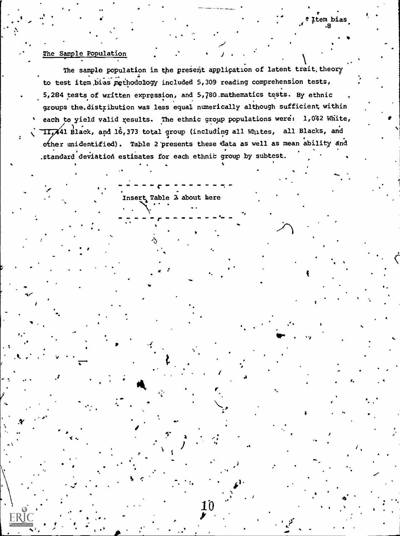#### The Sample Population

The sample population in the present application of latent trait, theory to test item bias pethodology included 5,309 reading comprehension tests, 5,284 tests of written expression, and 5,780 mathematics tests. By ethnic groups the distribution was less equal numerically although sufficient within each to yield valid results. The ethnic group populations were: 1,042 White, II,441 Black, and 16,373 total group (including all Whites, all Blacks, and other unidentified). Table 2 presents these data as well as mean ability and .standard deviation estimates for each ethnic group by subtest.

Item bias

Insert Table 2 about here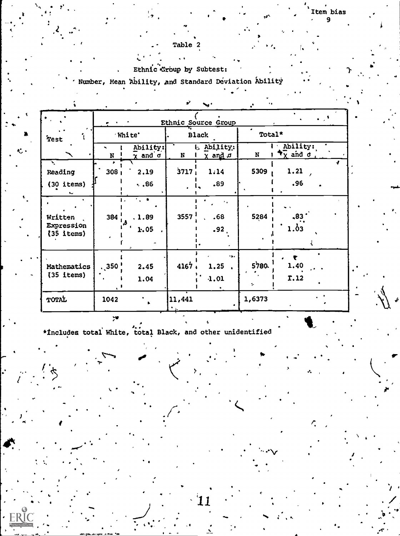## Table 2

## Ethnic Group by Subtest:

Number, Mean Ability, and Standard Deviation Ability

|                       |                  |                                           | s)           | $\sim$                                       | ٠.          |                                                      |
|-----------------------|------------------|-------------------------------------------|--------------|----------------------------------------------|-------------|------------------------------------------------------|
|                       |                  |                                           |              | Ethnic Source Group                          |             | $\sim$ $\sim$                                        |
| Test                  | White'           |                                           | <b>Black</b> |                                              | Total*      |                                                      |
|                       | N                | Ability:<br>$\frac{1}{\chi}$ and $\sigma$ | $\mathbf N$  | L Ability:<br>$\overline{\chi}$ and $\sigma$ | $\mathbf N$ | Ability:<br>$\star_{\overline{\chi}}$ and $\sigma$ , |
| Ñ,<br>Reading         | 308 <sub>1</sub> | 2.19                                      | 3717         | 1.14                                         | 5309        | 1.21                                                 |
| $(30$ items)          |                  | $\ddotsc 86$                              |              | .89                                          |             | .96                                                  |
|                       |                  | 1., m                                     |              | $\mathbf{r}_\mathrm{c}$                      |             | $\sim$                                               |
| Written<br>Expression | 384              | . 1.89                                    | 3557         | .68                                          | 5284        | .83<br>$1.\delta$ 3                                  |
| $(35$ items)          |                  | 1.05                                      |              | .92.                                         |             |                                                      |
| Mathematics           | $\ddotsc$ 350    | 2.45                                      | 4167,        | m.<br>1.25                                   | 5780.       | ŧ<br>1.40                                            |
| $(35$ items)          |                  | 1.04                                      |              | 1.01                                         | ÷.          | T.12                                                 |
| TOTAL                 | 1042             |                                           | 11,441       |                                              | 1,6373      |                                                      |

\*Includes total White, total Black, and other unidentified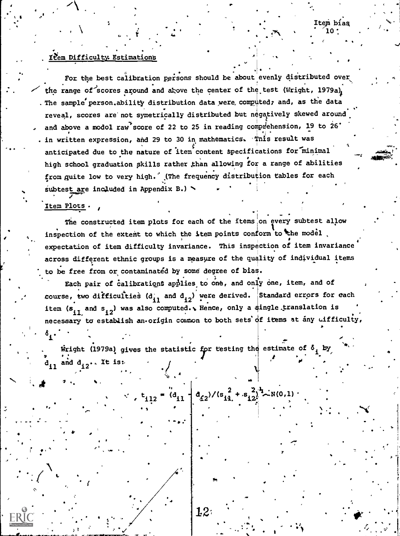## Item Difficulty Estimations

For the best calibration persons should be about evenly distributed over the range of scores around and above the center of the test (Wright, 1979a). . The sample person.ability distribution data were computed, and, as the data reveal, scores are not symetrically distributed but negatively skewed around and above a modol raw score of 22 to 25 in reading comprehension, 19 to 26' . in written expression, and 29 to 30 in mathematics. This result was anticipated due to the nature of item content specifications for minimal high school graduation skills rather than allowing for a range of abilities from guite low to very high. (The frequency distribution tables for each subtest are included in Appendix B.)

Item bias

#### Item Plots.

The constructed item plots for each of the items on every subtest allow inspection of the extent to which the item points conform to the model expectation of item difficulty invariance. This inspection of item invariance across different ethnic groups is a measure of the quality of individual items to be free from or contaminated by some degree of bias.

Each pair of calibrations applies to one, and only one, item, and of course, two difficulties  $(d_{11}$  and  $d_{12})$  were derived. Standard errors for each item (s<sub>il.</sub> and s<sub>i2</sub>) was also computed. Whence, only a single translation is necessary to establish an origin common to both sets of items at any cifficulty,  $\delta_{\mathbf{1}}$ .

 $t_{112} = a_{11} + a_{22}/(s_{11}^2 + s_{12}^2)^2 + N(0,1)$ 

Wright (1979a) gives the statistic for testing the estimate of  $\delta$ , by  $d_{i1}$  and  $d_{i2}$ . It is:

 $1.2$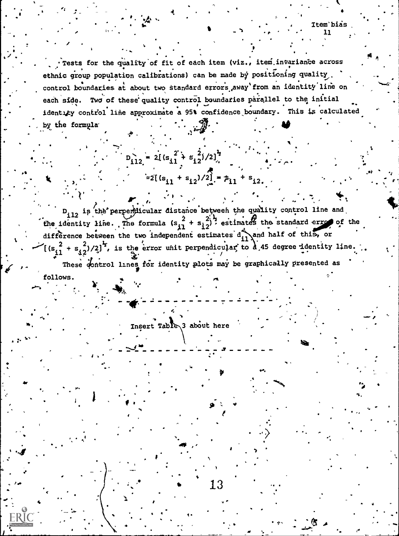Item bias

Tests for the quality of fit of each item (viz., item invariance across ethnic group population calibrations) can be made by positioning quality. control boundaries at about two standard errors away from an identity line on each side. Two of these quality control boundaries parallel to the initial identity control line approximate a 95% confidence boundary. This is calculated by the formula

D<sub>112</sub> is the perpendicular distance between the quality control line and the identity line. The formula  $(s_{11}^2 + s_{12}^2)$ , estimates the standard error of the difference between the two independent estimates dil and half of this, or  $\left[\frac{1}{(s_{i1}^2 + s_{i2}^2)/2}\right]^2$ , is the experiment perpendicular to  $\frac{1}{d}$  45 degree identity line. These control lines for identity plots may be graphically presented as follows.

 $13\,$ 

 $=2[(s_{11} + s_{12})/2] = \beta_{11} + s_{12}$ 

Insert Table 3 about here

 $D_{112} = 2[(s_{11}^2 + s_{12}^2)/2]$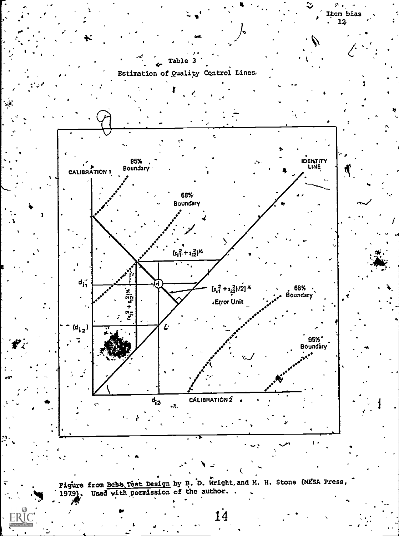

^ 海

 $\mathbf{I}^{\bullet}$ 

Figure from Bebb Test Design by B. D. Wright and M. H. Stone (MESA Press,

 $1\overset{.}{4}$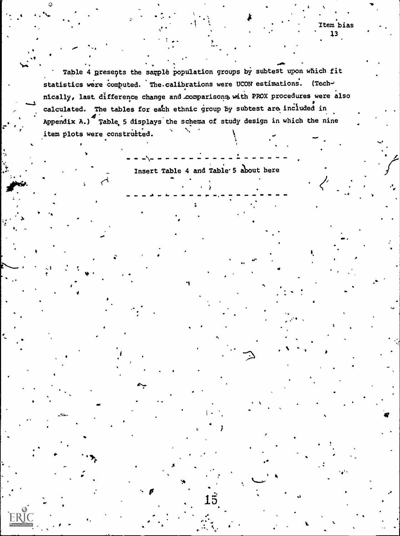Table 4 presents the sample population groups by subtest upon which fit statistics were computed. The calibrations were UCON estimations. (Technically, last difference change and comparisons with PROX procedures were also calculated. The tables for each ethnic group by subtest are included in Appendix A.) Table 5 displays the schema of study design in which the nine item plots were constructed.

Insert Table 4 and Table 5 about here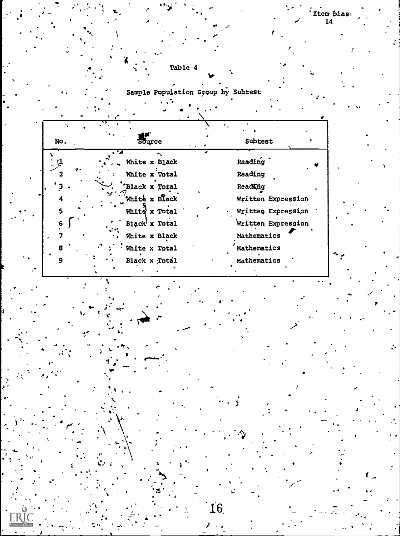

÷.

Sample Population Group by Subtest

Table 4

|        | 757                            |                                          |
|--------|--------------------------------|------------------------------------------|
| No.    | Source                         | Subtest                                  |
| ţ1,    | White x Black<br>White x Total | Reading<br>Reading                       |
|        | Black x Total                  | Reading                                  |
| 4<br>5 | White x Black<br>White x Total | Written Expression<br>Written Expression |
| 6      | Black x Total<br>White x Black | Written Expression<br>Mathematics        |
| 8<br>Q | White x Total<br>Black x Total | Mathematics<br>Mathematics               |

H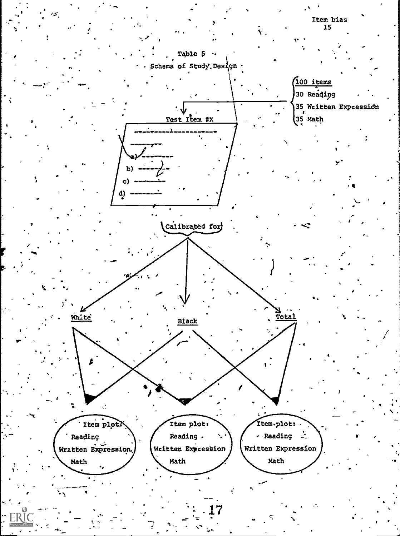

pip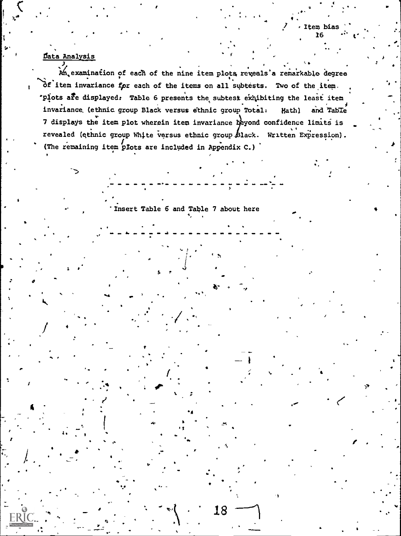## <u>Data Analysis</u>

An, examination of each of the nine item plots reveals'a remarkable degree Of item invariance for each of the items on all subtests. Two of the item. "plots are displayed. Table 6 presents the subtest exhibiting the least item invariance (ethnic group Black versus ethnic group Total: Hath) and Table 7 displays the item plot wherein item invariance beyond confidence limits is revealed (ethnic group White versus ethnic group Black. Written Expression). (The remaining item plots are included in Appendix C.)

Insert Table 6 and Table 7 about here

18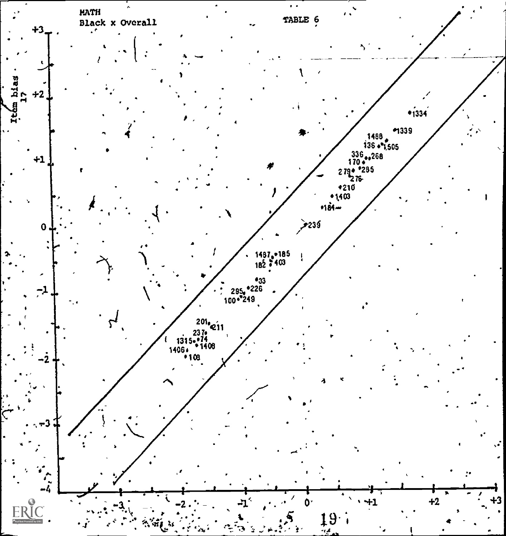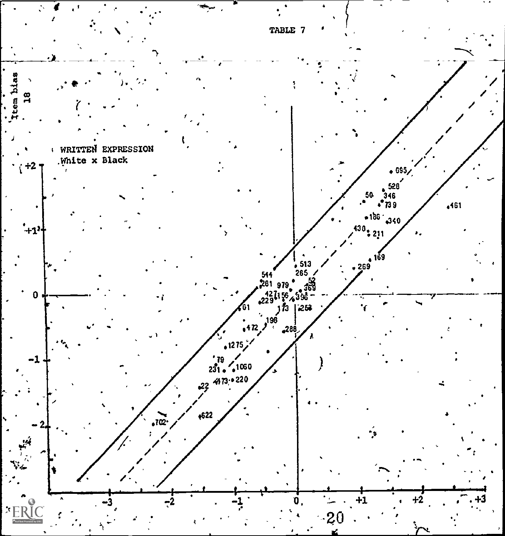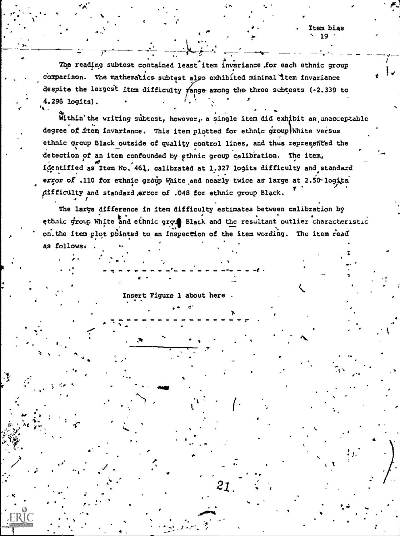The reading subtest contained least item invariance for each ethnic group comparison. The mathematics subtest also exhibited minimal item invariance despite the largest item difficulty  $\gamma$ ange among the three subtests (-2.339 to 4.296 logits).

Within the writing subtest, however, a single item did exhibit an unacceptable degree of item invariance. This item plotted for ethnic group White versus ethnic group Black outside of quality control lines, and thus represented the detection of an item confounded by ethnic group calibration. The item, identified as Item No. 461, calibrated at 1.327 logits difficulty and standard error of .110 for ethnic group White and nearly twice as large at 2.50 logits difficulty and standard error of .048 for ethnic group Black.

The large difference in item difficulty estimates between calibration by ethnic group White and ethnic group Black and the resultant outlier characteristic on the item plot pointed to an inspection of the item wording. The item read as follows.

 $21$ 

Insert Figure 1 about here

**FRIC**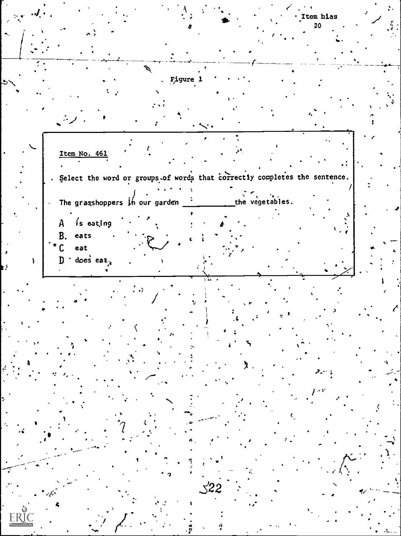Item bias 20 À. Figure 1 Item No. 461 . Select the word or groups of words that correctly completes the sentence. the vegetables. The grasshoppers  $\sharp$ h our garden  $\frac{1}{\pi}$ is eating A **B.** eats eat  $\mathsf{C}$  $D$   $\cdot$  does eat<sub>3</sub>  $\measuredangle$ 22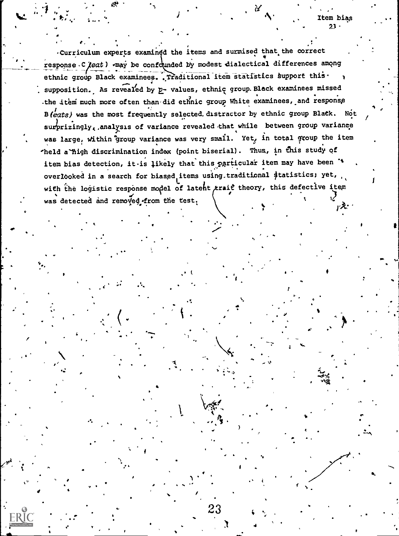. Curriculum experts examined the items and surmised that the correct response. C (eat)  $\epsilon$  , whay be confounded by modest dialectical differences among ethnic group Black examinees. Traditional item statistics support this. supposition. As revealed by p- values, ethnic group. Black examinees missed -the item much more often than did ethnic group White examinees, and response B(eats) was the most frequently selected. distractor by ethnic group Black. Not surprizingly, analysis of variance revealed that while between group variance was large, within group variance was very small. Yet, in total group the item 'held a-high discrimination index (point biserial). Thus, in this study of item bias detection, it-is likely that this particular item may have been \*\* overlooked in a search for biased items using traditional \$tatistics; yet, with the logistic response model of latent trait theory, this defective item was detected and removed from the test.

. .

a

S

) and  $\lambda$ 

 $\mathbf{I}$ 

23 cm  $\sim$ 

.

 $\mathbf{r} = \begin{bmatrix} 1 & 1 \\ 1 & 1 \end{bmatrix}$ 

Item bias

 $23 - 22$ 

TA:

 $\ddot{\phantom{1}}$  , the  $\ddot{\phantom{1}}$ 

 $4\frac{1}{2}$ 

'A.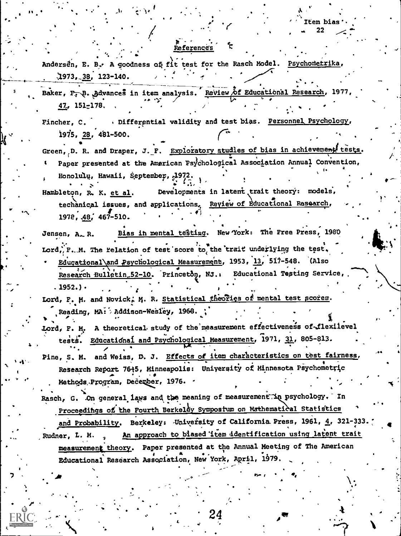## References

Andersen, E. B. A goodness of fit test for the Rasch Model. Psychometrika,  $1973.38.123-140.$ 

Baker, F. B. Advances in item analysis. Review of Educational Research, 1977, 47, 151-178.

. Differential validity and test bias. Personnel Psychology, Fincher. C. 1975, 28, 481-500.

Green, D. R. and Draper, J. F. Exploratory studies of bias in achievement tests. Paper presented at the American Psychological Association Annual Convention, Honolulu, Hawaii, September, 19

Developments in latent trait theory: models, Hambleton, R. K. et al. techanical issues, and applications. Review of Educational Research, 1978, 48, 467-510.

Bias in mental testing. New York: The Free Press, 1980 Jensen, A.R. Lord, P. M. The relation of test score to the trait underlying the test. Educational and Psychological Measurement, 1953, 13, 517-548. (Also Research Bulletin 52-10. Princeton, NJ.: Educational Testing Service,  $.1952.$ ).

Lord, P. M. and Novick, M. R. Statistical theories of mental test scores. Reading, MA: Addison-Wesley, 1968.

Lord, F. M. A theoretical study of the measurement effectiveness of flexilevel tests. Educational and Psychological Measurement, 1971, 31, 805-813.

Pine, S. M. and Weiss, D. J. Effects of item characteristics on test fairness, Research Report 76+5, Minneapolis: University of Minnesota Psychometric Methods Program, Dečember, 1976. -

Rasch, G. On general laws and the meaning of measurement in psychology. In Proceedings of the Fourth Berkeley Sympostum on Mathematical Statistics

and Probability. Berkeley: University of California Press, 1961, 4, 321-333. An approach to blased item identification using latent trait Rudner, L. M. measurement theory. Paper presented at the Annual Meeting of The American Educational Research Association, New York, April, 1979.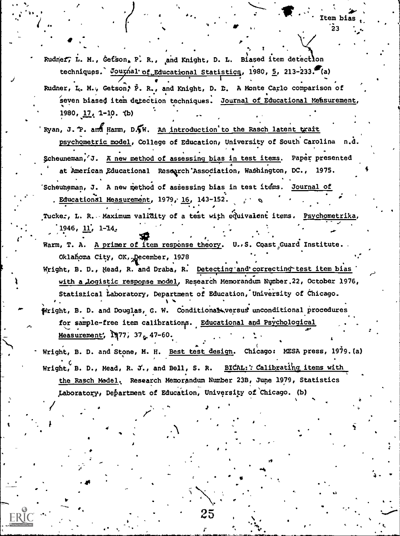Rudner, L. M., Getson, P. R., and Knight, D. L. Biased item detection techniques. Journal of Educational Statistics, 1980, 5, 213-233. (a) Rudner, L. M., Getson; P. R., and Knight, D. D. A Monte Carlo comparison of seven biased item detection techniques. Journal of Educational Measurement,

1980,  $17, 1-10, 10$ 

- Ryan, J. P. and Hamm, D. W. An introduction to the Rasch latent trait psychometric model, College of Education, University of South Carolina n.d. Scheuneman, J. A new method of assessing bias in test items. Paper presented at American Educational Research Association, Washington, DC., 1975.
- 'Scheuneman, J. A new method of assessing bias in test items. Journal of Educational Measurement, 1979, 16, 143-152.
- Tucker, L. R. Maximum validity of a test with equivalent items. Psychometrika,  $1946, 11, 1-14.$
- Warm, T. A. A primer of item response theory. U., S. Coast Guard Institute. Oklahoma City, OK, December, 1978
- Wright, B. D., Mead, R. and Draba, R. Detecting and correcting test item bias with a logistic response model, Research Memorandum Number.22, October 1976, Statistical Laboratory, Department of Education, University of Chicago.
- Wright, B. D. and Douglas, G. W. Conditional versus unconditional procedures for sample-free item calibrations. Educational and Psychological Measurement, 1977, 37 , 47-60.
- Wright, B. D. and Stone, M. H. Best test design. Chicago: MESA press, 1979. (a) Wright, B. D., Mead, R. J., and Bell, S. R. BICAL: : Calibrating items with the Rasch Model. Research Memorandum Number 23B, June 1979, Statistics Laboratory, Department of Education, University of Chicago. (b)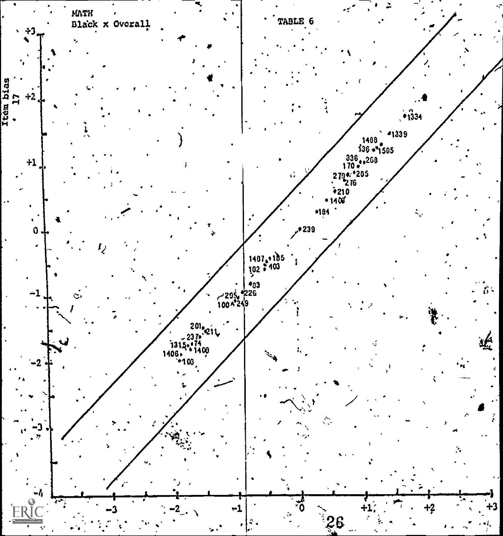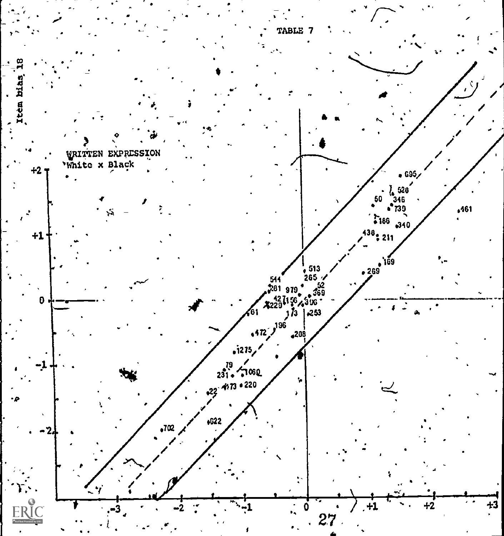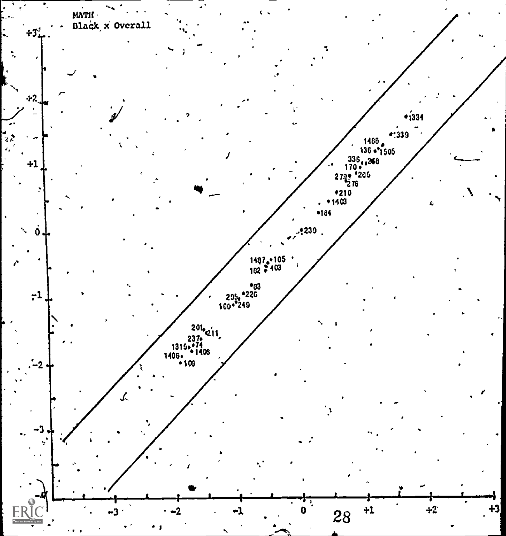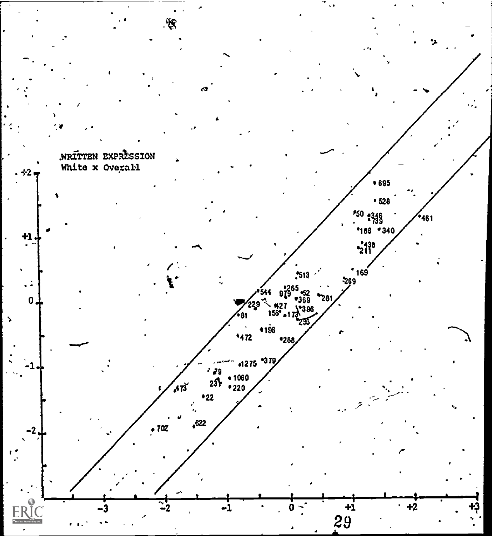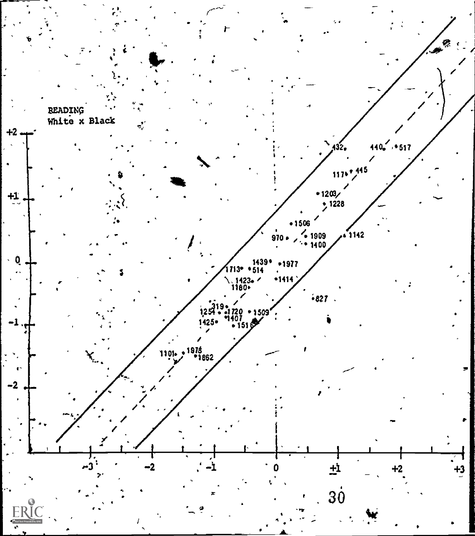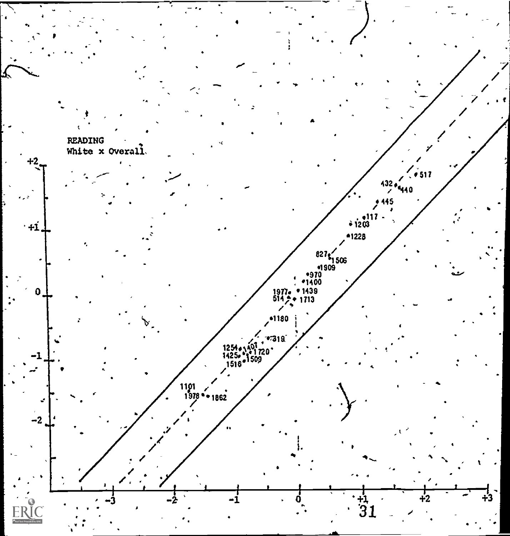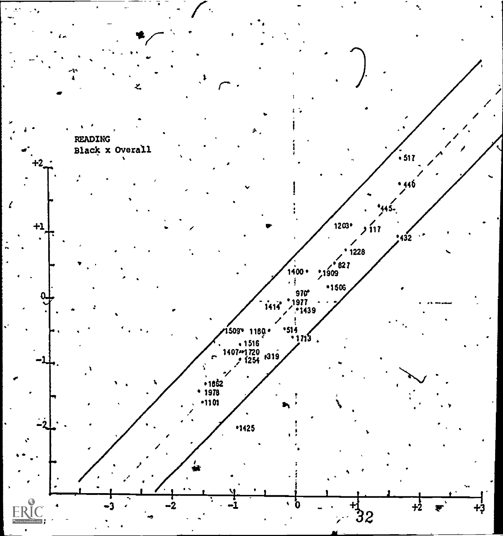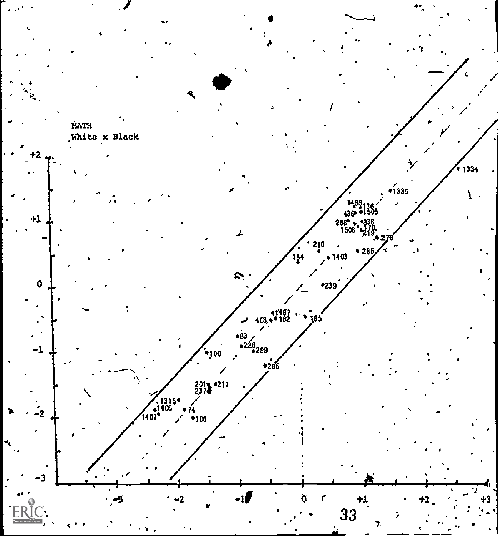